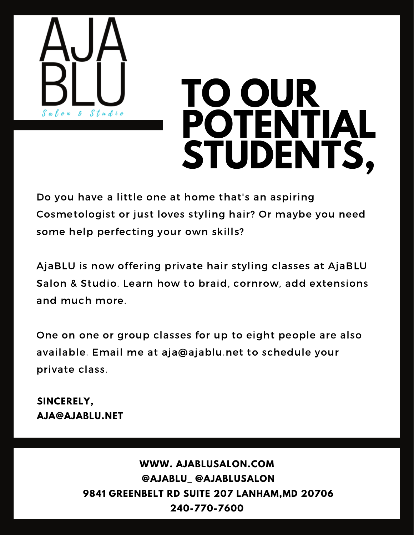

Do you have a little one at home that's an aspiring Cosmetologist or just loves styling hair? Or maybe you need some help perfecting your own skills?

AjaBLU is now offering private hair styling classes at AjaBLU Salon & Studio. Learn how to braid, cornrow, add extensions and much more.

One on one or group classes for up to eight people are also available. Email me at aja@ajablu.net to schedule your private class.

#### **SINCERELY, AJA@AJABLU.NET**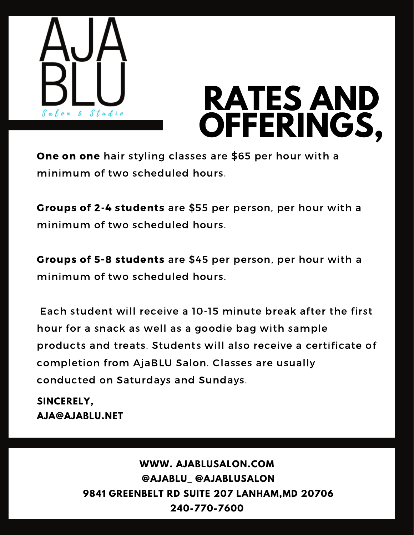



One on one hair styling classes are \$65 per hour with a minimum of two scheduled hours.

Groups of 2-4 students are \$55 per person, per hour with a minimum of two scheduled hours.

Groups of 5-8 students are \$45 per person, per hour with a minimum of two scheduled hours.

Each student will receive a 10-15 minute break after the first hour for a snack as well as a goodie bag with sample products and treats. Students will also receive a certificate of completion from AjaBLU Salon. Classes are usually conducted on Saturdays and Sundays.

**SINCERELY, AJA@AJABLU.NET**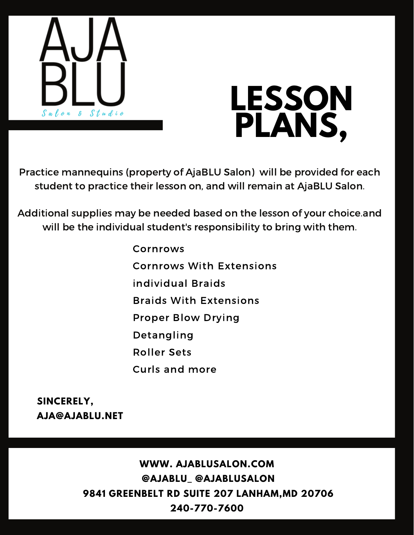



Practice mannequins (property of AjaBLU Salon) will be provided for each student to practice their lesson on, and will remain at AjaBLU Salon.

Additional supplies may be needed based on the lesson of your choice.and will be the individual student's responsibility to bring with them.

> Cornrows Cornrows With Extensions individual Braids Braids With Extensions Proper Blow Drying Detangling Roller Sets Curls and more

**SINCERELY, AJA@AJABLU.NET**